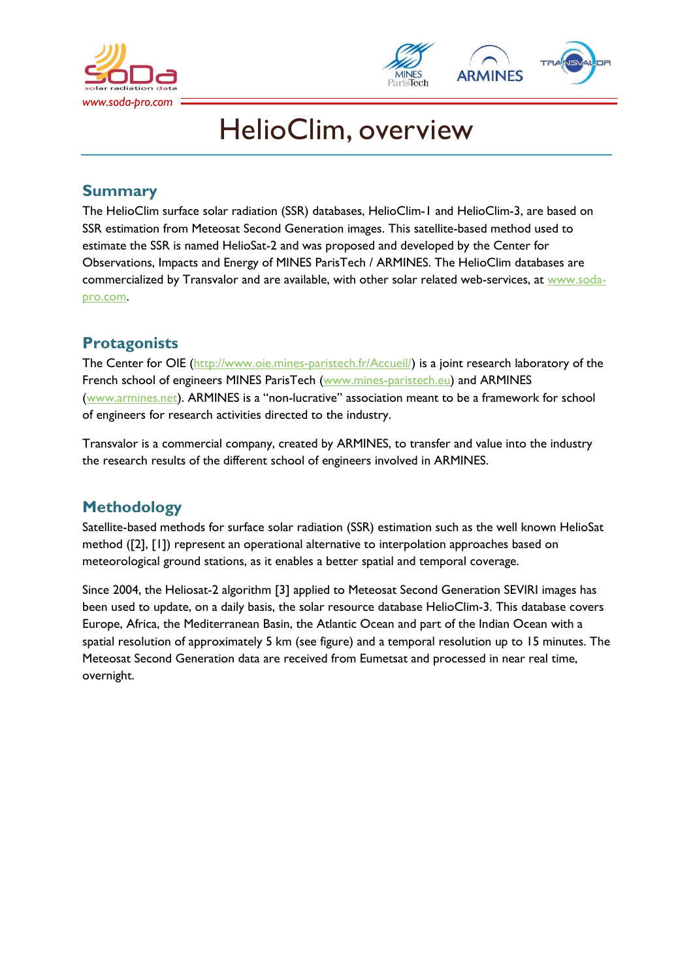



# HelioClim, overview

# **Summary**

The HelioClim surface solar radiation (SSR) databases, HelioClim-1 and HelioClim-3, are based on SSR estimation from Meteosat Second Generation images. This satellite-based method used to estimate the SSR is named HelioSat-2 and was proposed and developed by the Center for Observations, Impacts and Energy of MINES ParisTech / ARMINES. The HelioClim databases are commercialized by Transvalor and are available, with other solar related web-services, at [www.soda](http://www.soda-pro.com/)[pro.com.](http://www.soda-pro.com/)

# **Protagonists**

The Center for OIE [\(http://www.oie.mines-paristech.fr/Accueil/\)](http://www.oie.mines-paristech.fr/Accueil/) is a joint research laboratory of the French school of engineers MINES ParisTech [\(www.mines-paristech.eu\)](http://www.mines-paristech.eu/) and ARMINES [\(www.armines.net\)](http://www.armines.net/). ARMINES is a "non-lucrative" association meant to be a framework for school of engineers for research activities directed to the industry.

Transvalor is a commercial company, created by ARMINES, to transfer and value into the industry the research results of the different school of engineers involved in ARMINES.

# **Methodology**

Satellite-based methods for surface solar radiation (SSR) estimation such as the well known HelioSat method ([2], [1]) represent an operational alternative to interpolation approaches based on meteorological ground stations, as it enables a better spatial and temporal coverage.

Since 2004, the Heliosat-2 algorithm [3] applied to Meteosat Second Generation SEVIRI images has been used to update, on a daily basis, the solar resource database HelioClim-3. This database covers Europe, Africa, the Mediterranean Basin, the Atlantic Ocean and part of the Indian Ocean with a spatial resolution of approximately 5 km (see figure) and a temporal resolution up to 15 minutes. The Meteosat Second Generation data are received from Eumetsat and processed in near real time, overnight.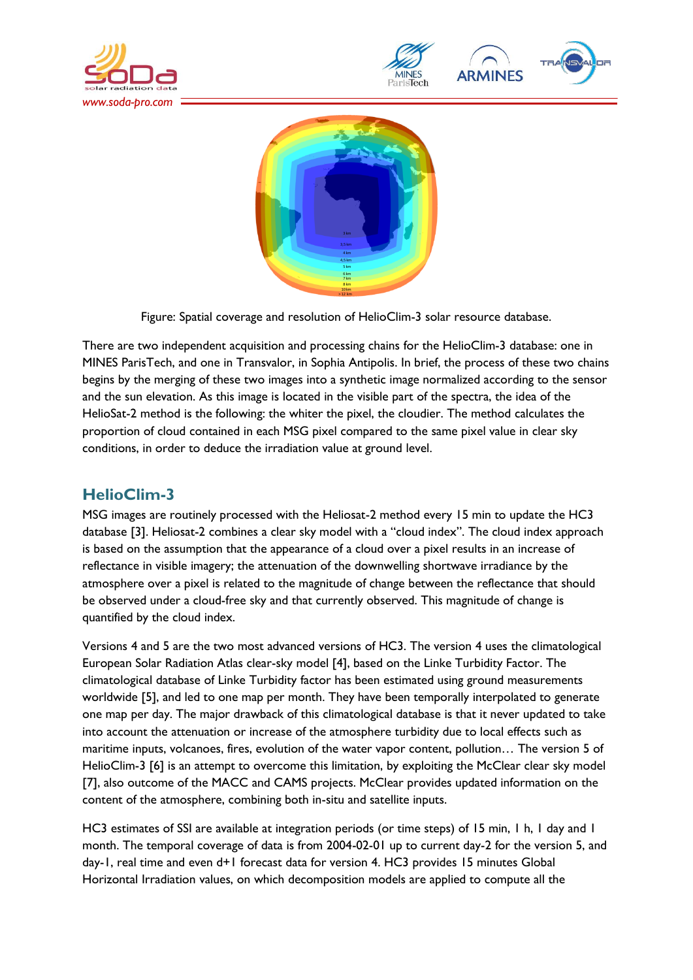





Figure: Spatial coverage and resolution of HelioClim-3 solar resource database.

There are two independent acquisition and processing chains for the HelioClim-3 database: one in MINES ParisTech, and one in Transvalor, in Sophia Antipolis. In brief, the process of these two chains begins by the merging of these two images into a synthetic image normalized according to the sensor and the sun elevation. As this image is located in the visible part of the spectra, the idea of the HelioSat-2 method is the following: the whiter the pixel, the cloudier. The method calculates the proportion of cloud contained in each MSG pixel compared to the same pixel value in clear sky conditions, in order to deduce the irradiation value at ground level.

# **HelioClim-3**

MSG images are routinely processed with the Heliosat-2 method every 15 min to update the HC3 database [3]. Heliosat-2 combines a clear sky model with a "cloud index". The cloud index approach is based on the assumption that the appearance of a cloud over a pixel results in an increase of reflectance in visible imagery; the attenuation of the downwelling shortwave irradiance by the atmosphere over a pixel is related to the magnitude of change between the reflectance that should be observed under a cloud-free sky and that currently observed. This magnitude of change is quantified by the cloud index.

Versions 4 and 5 are the two most advanced versions of HC3. The version 4 uses the climatological European Solar Radiation Atlas clear-sky model [4], based on the Linke Turbidity Factor. The climatological database of Linke Turbidity factor has been estimated using ground measurements worldwide [5], and led to one map per month. They have been temporally interpolated to generate one map per day. The major drawback of this climatological database is that it never updated to take into account the attenuation or increase of the atmosphere turbidity due to local effects such as maritime inputs, volcanoes, fires, evolution of the water vapor content, pollution… The version 5 of HelioClim-3 [6] is an attempt to overcome this limitation, by exploiting the McClear clear sky model [7], also outcome of the MACC and CAMS projects. McClear provides updated information on the content of the atmosphere, combining both in-situ and satellite inputs.

HC3 estimates of SSI are available at integration periods (or time steps) of 15 min, 1 h, 1 day and 1 month. The temporal coverage of data is from 2004-02-01 up to current day-2 for the version 5, and day-1, real time and even d+1 forecast data for version 4. HC3 provides 15 minutes Global Horizontal Irradiation values, on which decomposition models are applied to compute all the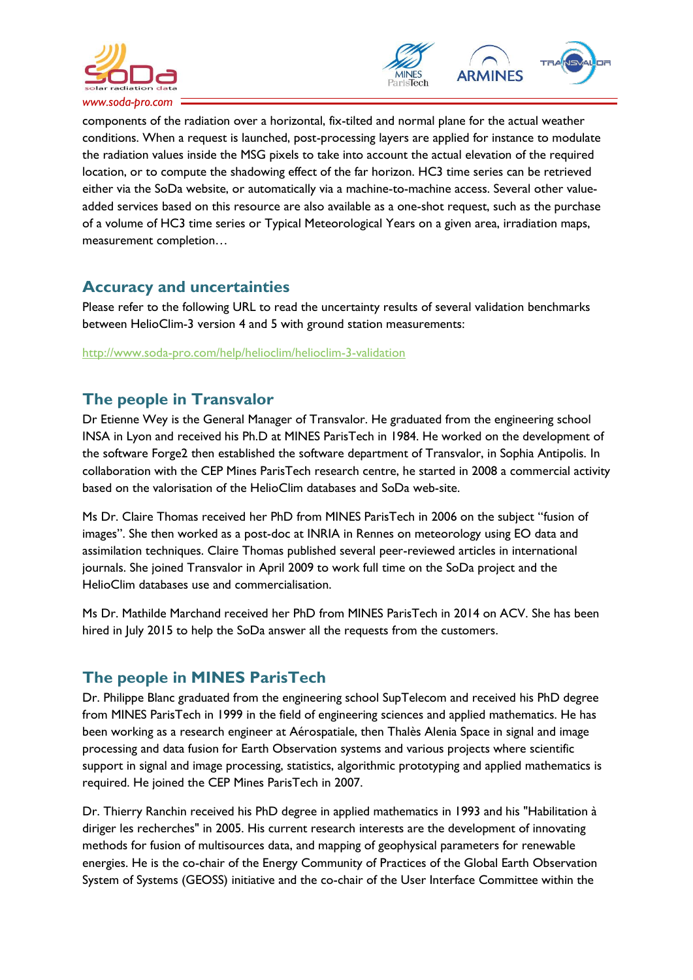



components of the radiation over a horizontal, fix-tilted and normal plane for the actual weather conditions. When a request is launched, post-processing layers are applied for instance to modulate the radiation values inside the MSG pixels to take into account the actual elevation of the required location, or to compute the shadowing effect of the far horizon. HC3 time series can be retrieved either via the SoDa website, or automatically via a machine-to-machine access. Several other valueadded services based on this resource are also available as a one-shot request, such as the purchase of a volume of HC3 time series or Typical Meteorological Years on a given area, irradiation maps, measurement completion…

# **Accuracy and uncertainties**

Please refer to the following URL to read the uncertainty results of several validation benchmarks between HelioClim-3 version 4 and 5 with ground station measurements:

<http://www.soda-pro.com/help/helioclim/helioclim-3-validation>

# **The people in Transvalor**

Dr Etienne Wey is the General Manager of Transvalor. He graduated from the engineering school INSA in Lyon and received his Ph.D at MINES ParisTech in 1984. He worked on the development of the software Forge2 then established the software department of Transvalor, in Sophia Antipolis. In collaboration with the CEP Mines ParisTech research centre, he started in 2008 a commercial activity based on the valorisation of the HelioClim databases and SoDa web-site.

Ms Dr. Claire Thomas received her PhD from MINES ParisTech in 2006 on the subject "fusion of images". She then worked as a post-doc at INRIA in Rennes on meteorology using EO data and assimilation techniques. Claire Thomas published several peer-reviewed articles in international journals. She joined Transvalor in April 2009 to work full time on the SoDa project and the HelioClim databases use and commercialisation.

Ms Dr. Mathilde Marchand received her PhD from MINES ParisTech in 2014 on ACV. She has been hired in July 2015 to help the SoDa answer all the requests from the customers.

# **The people in MINES ParisTech**

Dr. Philippe Blanc graduated from the engineering school SupTelecom and received his PhD degree from MINES ParisTech in 1999 in the field of engineering sciences and applied mathematics. He has been working as a research engineer at Aérospatiale, then Thalès Alenia Space in signal and image processing and data fusion for Earth Observation systems and various projects where scientific support in signal and image processing, statistics, algorithmic prototyping and applied mathematics is required. He joined the CEP Mines ParisTech in 2007.

Dr. Thierry Ranchin received his PhD degree in applied mathematics in 1993 and his "Habilitation à diriger les recherches" in 2005. His current research interests are the development of innovating methods for fusion of multisources data, and mapping of geophysical parameters for renewable energies. He is the co-chair of the Energy Community of Practices of the Global Earth Observation System of Systems (GEOSS) initiative and the co-chair of the User Interface Committee within the